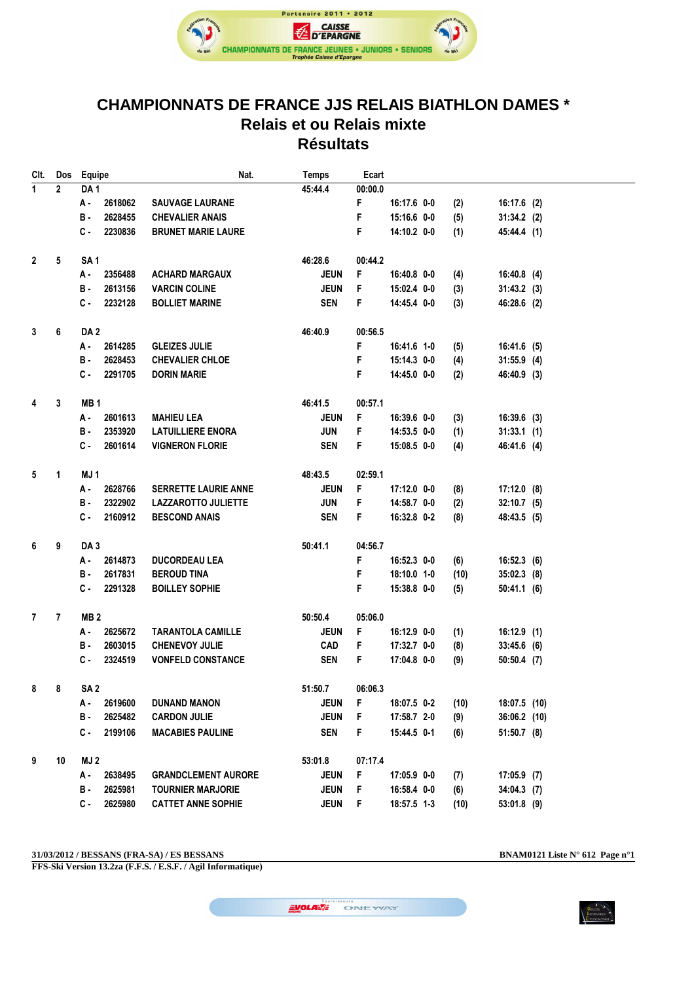

## **CHAMPIONNATS DE FRANCE JJS RELAIS BIATHLON DAMES \* Relais et ou Relais mixte Résultats**

| Clt.           | Dos            | Equipe          | Nat.                        | <b>Temps</b> | Ecart   |             |      |                |  |
|----------------|----------------|-----------------|-----------------------------|--------------|---------|-------------|------|----------------|--|
| $\overline{1}$ | $\overline{2}$ | DA <sub>1</sub> |                             | 45:44.4      | 00:00.0 |             |      |                |  |
|                |                | 2618062<br>А.   | <b>SAUVAGE LAURANE</b>      |              | F       | 16:17.6 0-0 | (2)  | 16:17.6 (2)    |  |
|                |                | 2628455<br>в.   | <b>CHEVALIER ANAIS</b>      |              | F       | 15:16.6 0-0 | (5)  | $31:34.2$ (2)  |  |
|                |                | C-<br>2230836   | <b>BRUNET MARIE LAURE</b>   |              | F       | 14:10.2 0-0 | (1)  | 45:44.4 (1)    |  |
|                |                |                 |                             |              |         |             |      |                |  |
| $\overline{2}$ | 5              | SA <sub>1</sub> |                             | 46:28.6      | 00:44.2 |             |      |                |  |
|                |                | А.<br>2356488   | <b>ACHARD MARGAUX</b>       | <b>JEUN</b>  | F       | 16:40.8 0-0 | (4)  | $16:40.8$ (4)  |  |
|                |                | 2613156<br>в.   | <b>VARCIN COLINE</b>        | <b>JEUN</b>  | F       | 15:02.4 0-0 | (3)  | $31:43.2$ (3)  |  |
|                |                | с.<br>2232128   | <b>BOLLIET MARINE</b>       | <b>SEN</b>   | F       | 14:45.4 0-0 | (3)  | 46:28.6 (2)    |  |
| 3              | 6              | DA <sub>2</sub> |                             | 46:40.9      | 00:56.5 |             |      |                |  |
|                |                | А.<br>2614285   | <b>GLEIZES JULIE</b>        |              | F       | 16:41.6 1-0 | (5)  | 16:41.6 (5)    |  |
|                |                | 2628453<br>в.   | <b>CHEVALIER CHLOE</b>      |              | F       | 15:14.3 0-0 | (4)  | $31:55.9$ (4)  |  |
|                |                | с.<br>2291705   | <b>DORIN MARIE</b>          |              | F       | 14:45.0 0-0 | (2)  | 46:40.9 (3)    |  |
| 4              | 3              | MB <sub>1</sub> |                             | 46:41.5      | 00:57.1 |             |      |                |  |
|                |                | А.<br>2601613   | <b>MAHIEU LEA</b>           | <b>JEUN</b>  | F       | 16:39.6 0-0 | (3)  | $16:39.6$ (3)  |  |
|                |                | 2353920<br>в.   | <b>LATUILLIERE ENORA</b>    | <b>JUN</b>   | F       | 14:53.5 0-0 | (1)  | 31:33.1(1)     |  |
|                |                | с.<br>2601614   | <b>VIGNERON FLORIE</b>      | <b>SEN</b>   | F       | 15:08.5 0-0 | (4)  | 46:41.6 (4)    |  |
|                |                |                 |                             |              |         |             |      |                |  |
| 5              | 1              | MJ1             |                             | 48:43.5      | 02:59.1 |             |      |                |  |
|                |                | 2628766<br>А.   | <b>SERRETTE LAURIE ANNE</b> | <b>JEUN</b>  | F       | 17:12.0 0-0 | (8)  | $17:12.0$ (8)  |  |
|                |                | в.<br>2322902   | <b>LAZZAROTTO JULIETTE</b>  | <b>JUN</b>   | F       | 14:58.7 0-0 | (2)  | $32:10.7$ (5)  |  |
|                |                | с.<br>2160912   | <b>BESCOND ANAIS</b>        | <b>SEN</b>   | F       | 16:32.8 0-2 | (8)  | 48:43.5 (5)    |  |
| 6              | 9              | DA <sub>3</sub> |                             | 50:41.1      | 04:56.7 |             |      |                |  |
|                |                | 2614873<br>А.   | <b>DUCORDEAU LEA</b>        |              | F       | 16:52.3 0-0 | (6)  | 16:52.3(6)     |  |
|                |                | 2617831<br>в.   | <b>BEROUD TINA</b>          |              | F       | 18:10.0 1-0 | (10) | $35:02.3$ (8)  |  |
|                |                | с.<br>2291328   | <b>BOILLEY SOPHIE</b>       |              | F       | 15:38.8 0-0 | (5)  | 50:41.1(6)     |  |
|                |                |                 |                             |              |         |             |      |                |  |
| 7              | 7              | MB <sub>2</sub> |                             | 50:50.4      | 05:06.0 |             |      |                |  |
|                |                | 2625672<br>А.   | <b>TARANTOLA CAMILLE</b>    | <b>JEUN</b>  | F       | 16:12.9 0-0 | (1)  | 16:12.9(1)     |  |
|                |                | 2603015<br>в.   | <b>CHENEVOY JULIE</b>       | CAD          | F       | 17:32.7 0-0 | (8)  | $33:45.6$ (6)  |  |
|                |                | с.<br>2324519   | <b>VONFELD CONSTANCE</b>    | <b>SEN</b>   | F.      | 17:04.8 0-0 | (9)  | $50:50.4$ (7)  |  |
| 8              | 8              | SA <sub>2</sub> |                             | 51:50.7      | 06:06.3 |             |      |                |  |
|                |                | 2619600<br>А -  | DUNAND MANON                | <b>JEUN</b>  | F       | 18:07.5 0-2 | (10) | 18:07.5 (10)   |  |
|                |                | в.<br>2625482   | <b>CARDON JULIE</b>         | <b>JEUN</b>  | F       | 17:58.7 2-0 | (9)  | $36:06.2$ (10) |  |
|                |                | 2199106<br>с.   | <b>MACABIES PAULINE</b>     | <b>SEN</b>   | F       | 15:44.5 0-1 | (6)  | $51:50.7$ (8)  |  |
| 9              | 10             | MJ 2            |                             | 53:01.8      | 07:17.4 |             |      |                |  |
|                |                | А.<br>2638495   | <b>GRANDCLEMENT AURORE</b>  | <b>JEUN</b>  | F       | 17:05.9 0-0 | (7)  | $17:05.9$ (7)  |  |
|                |                | В.              | <b>TOURNIER MARJORIE</b>    |              |         |             |      |                |  |
|                |                | 2625981         |                             | <b>JEUN</b>  | F       | 16:58.4 0-0 | (6)  | $34:04.3$ (7)  |  |
|                |                | с.<br>2625980   | <b>CATTET ANNE SOPHIE</b>   | <b>JEUN</b>  | F       | 18:57.5 1-3 | (10) | $53:01.8$ (9)  |  |

**31/03/2012 / BESSANS (FRA-SA) / ES BESSANS BNAM0121 Liste N° 612 Page n°1**

**FFS-Ski Version 13.2za (F.F.S. / E.S.F. / Agil Informatique)**